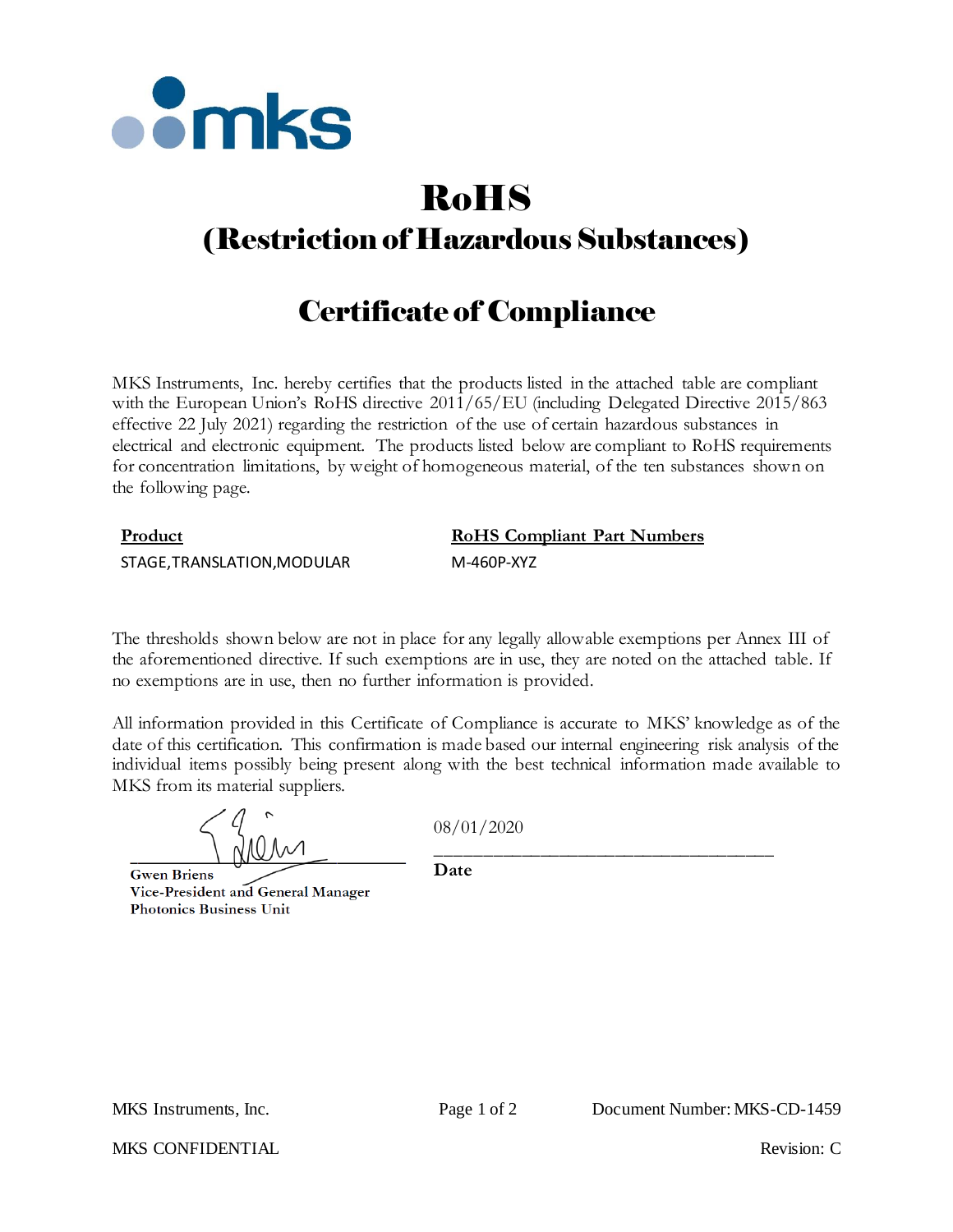

# RoHS

## (Restriction of Hazardous Substances)

## Certificate of Compliance

MKS Instruments, Inc. hereby certifies that the products listed in the attached table are compliant with the European Union's RoHS directive  $2011/65/EU$  (including Delegated Directive 2015/863 effective 22 July 2021) regarding the restriction of the use of certain hazardous substances in electrical and electronic equipment. The products listed below are compliant to RoHS requirements for concentration limitations, by weight of homogeneous material, of the ten substances shown on the following page.

### **Product RoHS Compliant Part Numbers**

STAGE,TRANSLATION,MODULAR M-460P-XYZ

The thresholds shown below are not in place for any legally allowable exemptions per Annex III of the aforementioned directive. If such exemptions are in use, they are noted on the attached table. If no exemptions are in use, then no further information is provided.

All information provided in this Certificate of Compliance is accurate to MKS' knowledge as of the date of this certification. This confirmation is made based our internal engineering risk analysis of the individual items possibly being present along with the best technical information made available to MKS from its material suppliers.

08/01/2020

**Gwen Briens** Vice-President and General Manager **Photonics Business Unit** 

\_\_\_\_\_\_\_\_\_\_\_\_\_\_\_\_\_\_\_\_\_\_\_\_\_\_\_\_\_\_\_\_\_\_\_\_ **Date**

MKS CONFIDENTIAL THE CONFIDENTIAL Revision: C